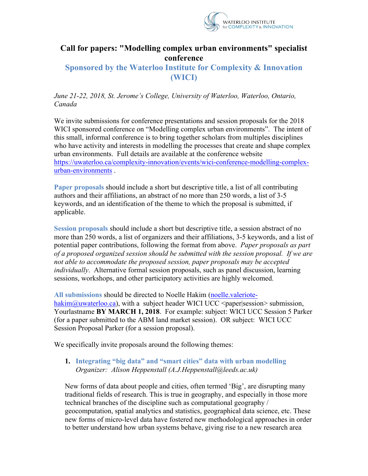

# **Call for papers: "Modelling complex urban environments" specialist conference**

## **Sponsored by the Waterloo Institute for Complexity & Innovation (WICI)**

*June 21-22, 2018, St. Jerome's College, University of Waterloo, Waterloo, Ontario, Canada*

We invite submissions for conference presentations and session proposals for the 2018 WICI sponsored conference on "Modelling complex urban environments". The intent of this small, informal conference is to bring together scholars from multiples disciplines who have activity and interests in modelling the processes that create and shape complex urban environments. Full details are available at the conference website https://uwaterloo.ca/complexity-innovation/events/wici-conference-modelling-complexurban-environments .

**Paper proposals** should include a short but descriptive title, a list of all contributing authors and their affiliations, an abstract of no more than 250 words, a list of 3-5 keywords, and an identification of the theme to which the proposal is submitted, if applicable.

**Session proposals** should include a short but descriptive title, a session abstract of no more than 250 words, a list of organizers and their affiliations, 3-5 keywords, and a list of potential paper contributions, following the format from above. *Paper proposals as part of a proposed organized session should be submitted with the session proposal. If we are not able to accommodate the proposed session, paper proposals may be accepted individually*. Alternative formal session proposals, such as panel discussion, learning sessions, workshops, and other participatory activities are highly welcomed.

**All submissions** should be directed to Noelle Hakim (noelle.valeriotehakim@uwaterloo.ca), with a subject header WICI UCC <paper|session> submission, Yourlastname **BY MARCH 1, 2018**. For example: subject: WICI UCC Session 5 Parker (for a paper submitted to the ABM land market session). OR subject: WICI UCC Session Proposal Parker (for a session proposal).

We specifically invite proposals around the following themes:

#### **1. Integrating "big data" and "smart cities" data with urban modelling** *Organizer: Alison Heppenstall (A.J.Heppenstall@leeds.ac.uk)*

New forms of data about people and cities, often termed 'Big', are disrupting many traditional fields of research. This is true in geography, and especially in those more technical branches of the discipline such as computational geography / geocomputation, spatial analytics and statistics, geographical data science, etc. These new forms of micro-level data have fostered new methodological approaches in order to better understand how urban systems behave, giving rise to a new research area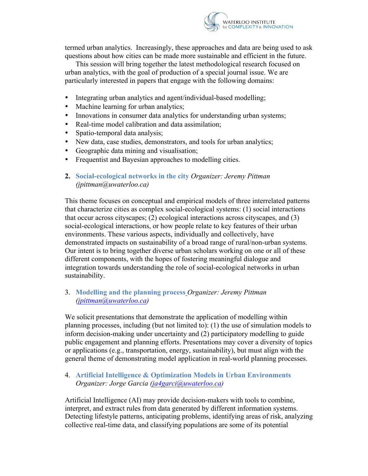

termed urban analytics. Increasingly, these approaches and data are being used to ask questions about how cities can be made more sustainable and efficient in the future.

This session will bring together the latest methodological research focused on urban analytics, with the goal of production of a special journal issue. We are particularly interested in papers that engage with the following domains:

- Integrating urban analytics and agent/individual-based modelling;
- Machine learning for urban analytics;
- Innovations in consumer data analytics for understanding urban systems;
- Real-time model calibration and data assimilation;
- Spatio-temporal data analysis;
- New data, case studies, demonstrators, and tools for urban analytics;
- Geographic data mining and visualisation;
- Frequentist and Bayesian approaches to modelling cities.
- **2. Social-ecological networks in the city** *Organizer: Jeremy Pittman (jpittman@uwaterloo.ca)*

This theme focuses on conceptual and empirical models of three interrelated patterns that characterize cities as complex social-ecological systems: (1) social interactions that occur across cityscapes; (2) ecological interactions across cityscapes, and (3) social-ecological interactions, or how people relate to key features of their urban environments. These various aspects, individually and collectively, have demonstrated impacts on sustainability of a broad range of rural/non-urban systems. Our intent is to bring together diverse urban scholars working on one or all of these different components, with the hopes of fostering meaningful dialogue and integration towards understanding the role of social-ecological networks in urban sustainability.

#### 3. **Modelling and the planning process** *Organizer: Jeremy Pittman (jpittman@uwaterloo.ca)*

We solicit presentations that demonstrate the application of modelling within planning processes, including (but not limited to): (1) the use of simulation models to inform decision-making under uncertainty and (2) participatory modelling to guide public engagement and planning efforts. Presentations may cover a diversity of topics or applications (e.g., transportation, energy, sustainability), but must align with the general theme of demonstrating model application in real-world planning processes.

#### 4. **Artificial Intelligence & Optimization Models in Urban Environments** *Organizer: Jorge Garcia (ja4garci@uwaterloo.ca)*

Artificial Intelligence (AI) may provide decision-makers with tools to combine, interpret, and extract rules from data generated by different information systems. Detecting lifestyle patterns, anticipating problems, identifying areas of risk, analyzing collective real-time data, and classifying populations are some of its potential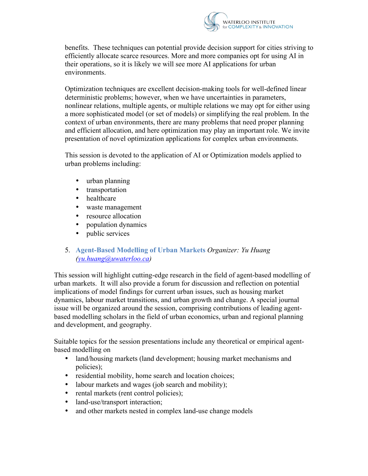

benefits. These techniques can potential provide decision support for cities striving to efficiently allocate scarce resources. More and more companies opt for using AI in their operations, so it is likely we will see more AI applications for urban environments.

Optimization techniques are excellent decision-making tools for well-defined linear deterministic problems; however, when we have uncertainties in parameters, nonlinear relations, multiple agents, or multiple relations we may opt for either using a more sophisticated model (or set of models) or simplifying the real problem. In the context of urban environments, there are many problems that need proper planning and efficient allocation, and here optimization may play an important role. We invite presentation of novel optimization applications for complex urban environments.

This session is devoted to the application of AI or Optimization models applied to urban problems including:

- urban planning
- transportation
- healthcare
- waste management
- resource allocation
- population dynamics
- public services
- 5. **Agent-Based Modelling of Urban Markets** *Organizer: Yu Huang (yu.huang@uwaterloo.ca)*

This session will highlight cutting-edge research in the field of agent-based modelling of urban markets. It will also provide a forum for discussion and reflection on potential implications of model findings for current urban issues, such as housing market dynamics, labour market transitions, and urban growth and change. A special journal issue will be organized around the session, comprising contributions of leading agentbased modelling scholars in the field of urban economics, urban and regional planning and development, and geography.

Suitable topics for the session presentations include any theoretical or empirical agentbased modelling on

- land/housing markets (land development; housing market mechanisms and policies);
- residential mobility, home search and location choices;
- labour markets and wages (job search and mobility);
- rental markets (rent control policies);
- land-use/transport interaction;
- and other markets nested in complex land-use change models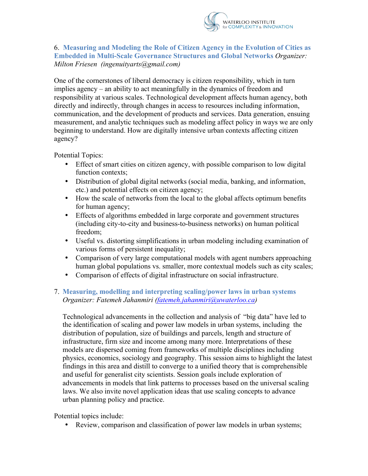

#### 6. **Measuring and Modeling the Role of Citizen Agency in the Evolution of Cities as Embedded in Multi-Scale Governance Structures and Global Networks** *Organizer: Milton Friesen (ingenuityarts@gmail.com)*

One of the cornerstones of liberal democracy is citizen responsibility, which in turn implies agency – an ability to act meaningfully in the dynamics of freedom and responsibility at various scales. Technological development affects human agency, both directly and indirectly, through changes in access to resources including information, communication, and the development of products and services. Data generation, ensuing measurement, and analytic techniques such as modeling affect policy in ways we are only beginning to understand. How are digitally intensive urban contexts affecting citizen agency?

Potential Topics:

- Effect of smart cities on citizen agency, with possible comparison to low digital function contexts;
- Distribution of global digital networks (social media, banking, and information, etc.) and potential effects on citizen agency;
- How the scale of networks from the local to the global affects optimum benefits for human agency;
- Effects of algorithms embedded in large corporate and government structures (including city-to-city and business-to-business networks) on human political freedom;
- Useful vs. distorting simplifications in urban modeling including examination of various forms of persistent inequality;
- Comparison of very large computational models with agent numbers approaching human global populations vs. smaller, more contextual models such as city scales;
- Comparison of effects of digital infrastructure on social infrastructure.

### 7. **Measuring, modelling and interpreting scaling/power laws in urban systems** *Organizer: Fatemeh Jahanmiri (fatemeh.jahanmiri@uwaterloo.ca)*

Technological advancements in the collection and analysis of "big data" have led to the identification of scaling and power law models in urban systems, including the distribution of population, size of buildings and parcels, length and structure of infrastructure, firm size and income among many more. Interpretations of these models are dispersed coming from frameworks of multiple disciplines including physics, economics, sociology and geography. This session aims to highlight the latest findings in this area and distill to converge to a unified theory that is comprehensible and useful for generalist city scientists. Session goals include exploration of advancements in models that link patterns to processes based on the universal scaling laws. We also invite novel application ideas that use scaling concepts to advance urban planning policy and practice.

Potential topics include:

• Review, comparison and classification of power law models in urban systems;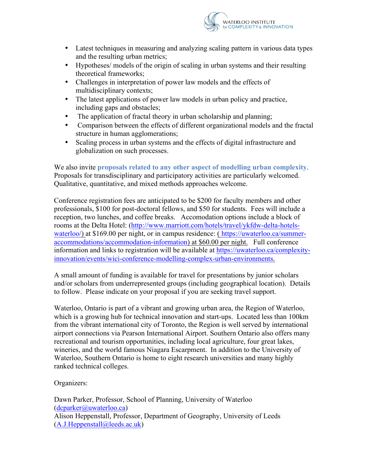

- Latest techniques in measuring and analyzing scaling pattern in various data types and the resulting urban metrics;
- Hypotheses/ models of the origin of scaling in urban systems and their resulting theoretical frameworks;
- Challenges in interpretation of power law models and the effects of multidisciplinary contexts;
- The latest applications of power law models in urban policy and practice, including gaps and obstacles;
- The application of fractal theory in urban scholarship and planning;
- Comparison between the effects of different organizational models and the fractal structure in human agglomerations;
- Scaling process in urban systems and the effects of digital infrastructure and globalization on such processes.

We also invite **proposals related to any other aspect of modelling urban complexity**. Proposals for transdisciplinary and participatory activities are particularly welcomed. Qualitative, quantitative, and mixed methods approaches welcome.

Conference registration fees are anticipated to be \$200 for faculty members and other professionals, \$100 for post-doctoral fellows, and \$50 for students. Fees will include a reception, two lunches, and coffee breaks. Accomodation options include a block of rooms at the Delta Hotel: (http://www.marriott.com/hotels/travel/ykfdw-delta-hotelswaterloo/) at \$169.00 per night, or in campus residence: (https://uwaterloo.ca/summeraccommodations/accommodation-information) at \$60.00 per night. Full conference information and links to registration will be available at https://uwaterloo.ca/complexityinnovation/events/wici-conference-modelling-complex-urban-environments.

A small amount of funding is available for travel for presentations by junior scholars and/or scholars from underrepresented groups (including geographical location). Details to follow. Please indicate on your proposal if you are seeking travel support.

Waterloo, Ontario is part of a vibrant and growing urban area, the Region of Waterloo, which is a growing hub for technical innovation and start-ups. Located less than 100km from the vibrant international city of Toronto, the Region is well served by international airport connections via Pearson International Airport. Southern Ontario also offers many recreational and tourism opportunities, including local agriculture, four great lakes, wineries, and the world famous Niagara Escarpment. In addition to the University of Waterloo, Southern Ontario is home to eight research universities and many highly ranked technical colleges.

Organizers:

Dawn Parker, Professor, School of Planning, University of Waterloo (dcparker@uwaterloo.ca) Alison Heppenstall, Professor, Department of Geography, University of Leeds  $(A.J.Heppenstall@leeds.ac.uk)$